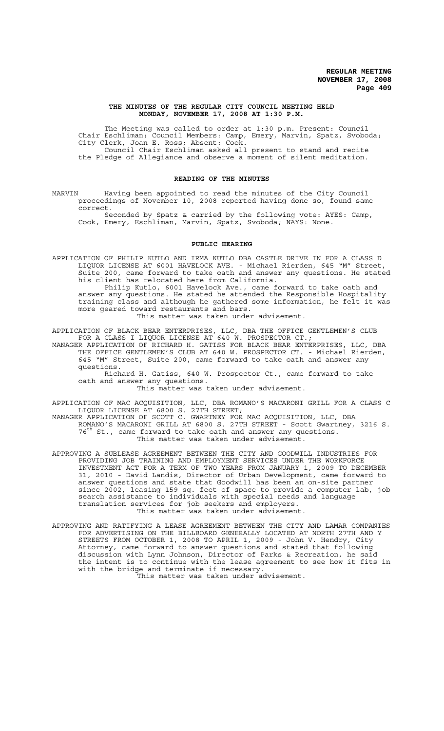#### **THE MINUTES OF THE REGULAR CITY COUNCIL MEETING HELD MONDAY, NOVEMBER 17, 2008 AT 1:30 P.M.**

The Meeting was called to order at 1:30 p.m. Present: Council Chair Eschliman; Council Members: Camp, Emery, Marvin, Spatz, Svoboda; City Clerk, Joan E. Ross; Absent: Cook. Council Chair Eschliman asked all present to stand and recite the Pledge of Allegiance and observe a moment of silent meditation.

#### **READING OF THE MINUTES**

MARVIN Having been appointed to read the minutes of the City Council proceedings of November 10, 2008 reported having done so, found same correct.

Seconded by Spatz & carried by the following vote: AYES: Camp, Cook, Emery, Eschliman, Marvin, Spatz, Svoboda; NAYS: None.

### **PUBLIC HEARING**

APPLICATION OF PHILIP KUTLO AND IRMA KUTLO DBA CASTLE DRIVE IN FOR A CLASS D LIQUOR LICENSE AT 6001 HAVELOCK AVE. - Michael Rierden, 645 "M" Street, Suite 200, came forward to take oath and answer any questions. He stated his client has relocated here from California.

Philip Kutlo, 6001 Havelock Ave., came forward to take oath and answer any questions. He stated he attended the Responsible Hospitality training class and although he gathered some information, he felt it was more geared toward restaurants and bars.

This matter was taken under advisement.

APPLICATION OF BLACK BEAR ENTERPRISES, LLC, DBA THE OFFICE GENTLEMEN'S CLUB FOR A CLASS I LIQUOR LICENSE AT 640 W. PROSPECTOR CT.;

MANAGER APPLICATION OF RICHARD H. GATISS FOR BLACK BEAR ENTERPRISES, LLC, DBA THE OFFICE GENTLEMEN'S CLUB AT 640 W. PROSPECTOR CT. - Michael Rierden, 645 "M" Street, Suite 200, came forward to take oath and answer any questions.

Richard H. Gatiss, 640 W. Prospector Ct., came forward to take oath and answer any questions.

This matter was taken under advisement.

APPLICATION OF MAC ACQUISITION, LLC, DBA ROMANO'S MACARONI GRILL FOR A CLASS C LIQUOR LICENSE AT 6800 S. 27TH STREET;

MANAGER APPLICATION OF SCOTT C. GWARTNEY FOR MAC ACQUISITION, LLC, DBA ROMANO'S MACARONI GRILL AT 6800 S. 27TH STREET - Scott Gwartney, 3216 S.  $76<sup>th</sup>$  St., came forward to take oath and answer any questions. This matter was taken under advisement.

APPROVING A SUBLEASE AGREEMENT BETWEEN THE CITY AND GOODWILL INDUSTRIES FOR PROVIDING JOB TRAINING AND EMPLOYMENT SERVICES UNDER THE WORKFORCE INVESTMENT ACT FOR A TERM OF TWO YEARS FROM JANUARY 1, 2009 TO DECEMBER 31, 2010 - David Landis, Director of Urban Development, came forward to answer questions and state that Goodwill has been an on-site partner since 2002, leasing 159 sq. feet of space to provide a computer lab, job search assistance to individuals with special needs and language translation services for job seekers and employers. This matter was taken under advisement.

APPROVING AND RATIFYING A LEASE AGREEMENT BETWEEN THE CITY AND LAMAR COMPANIES FOR ADVERTISING ON THE BILLBOARD GENERALLY LOCATED AT NORTH 27TH AND Y STREETS FROM OCTOBER 1, 2008 TO APRIL 1, 2009 - John V. Hendry, City Attorney, came forward to answer questions and stated that following discussion with Lynn Johnson, Director of Parks & Recreation, he said the intent is to continue with the lease agreement to see how it fits in with the bridge and terminate if necessary. This matter was taken under advisement.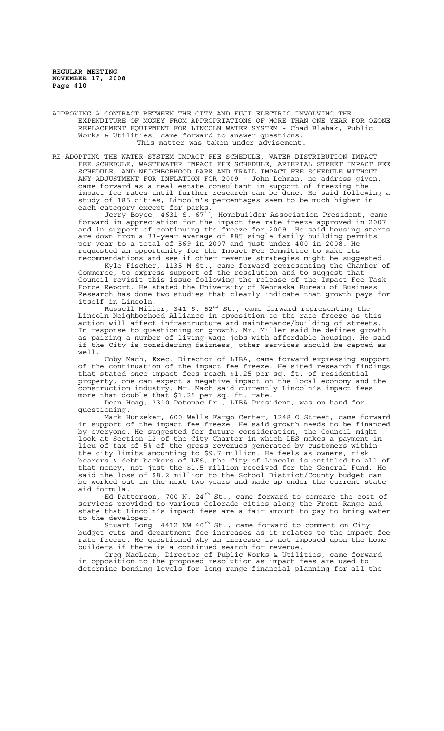APPROVING A CONTRACT BETWEEN THE CITY AND FUJI ELECTRIC INVOLVING THE EXPENDITURE OF MONEY FROM APPROPRIATIONS OF MORE THAN ONE YEAR FOR OZONE REPLACEMENT EQUIPMENT FOR LINCOLN WATER SYSTEM - Chad Blahak, Public Works & Utilities, came forward to answer questions. This matter was taken under advisement.

RE-ADOPTING THE WATER SYSTEM IMPACT FEE SCHEDULE, WATER DISTRIBUTION IMPACT FEE SCHEDULE, WASTEWATER IMPACT FEE SCHEDULE, ARTERIAL STREET IMPACT FEE SCHEDULE, AND NEIGHBORHOOD PARK AND TRAIL IMPACT FEE SCHEDULE WITHOUT ANY ADJUSTMENT FOR INFLATION FOR 2009 - John Lehman, no address given, came forward as a real estate consultant in support of freezing the impact fee rates until further research can be done. He said following a study of 185 cities, Lincoln's percentages seem to be much higher in each category except for parks.

Jerry Boyce, 4631 S. 67th, Homebuilder Association President, came forward in appreciation for the impact fee rate freeze approved in 2007 and in support of continuing the freeze for 2009. He said housing starts are down from a 33-year average of 885 single family building permits per year to a total of 569 in 2007 and just under 400 in 2008. He requested an opportunity for the Impact Fee Committee to make its recommendations and see if other revenue strategies might be suggested.

Kyle Fischer, 1135 M St., came forward representing the Chamber of Commerce, to express support of the resolution and to suggest that Council revisit this issue following the release of the Impact Fee Task Force Report. He stated the University of Nebraska Bureau of Business Research has done two studies that clearly indicate that growth pays for itself in Lincoln.

Russell Miller, 341 S. 52 $^{\rm nd}$  St., came forward representing the Lincoln Neighborhood Alliance in opposition to the rate freeze as this action will affect infrastructure and maintenance/building of streets. In response to questioning on growth, Mr. Miller said he defines growth as pairing a number of living-wage jobs with affordable housing. He said if the City is considering fairness, other services should be capped as well.

Coby Mach, Exec. Director of LIBA, came forward expressing support of the continuation of the impact fee freeze. He sited research findings that stated once impact fees reach \$1.25 per sq. ft. of residential property, one can expect a negative impact on the local economy and the construction industry. Mr. Mach said currently Lincoln's impact fees more than double that \$1.25 per sq. ft. rate.

Dean Hoag, 3310 Potomac Dr., LIBA President, was on hand for questioning.

Mark Hunzeker, 600 Wells Fargo Center, 1248 O Street, came forward in support of the impact fee freeze. He said growth needs to be financed by everyone. He suggested for future consideration, the Council might look at Section 12 of the City Charter in which LES makes a payment in lieu of tax of 5% of the gross revenues generated by customers within the city limits amounting to \$9.7 million. He feels as owners, risk bearers & debt backers of LES, the City of Lincoln is entitled to all of that money, not just the \$1.5 million received for the General Fund. He said the loss of \$8.2 million to the School District/County budget can be worked out in the next two years and made up under the current state aid formula.

Ed Patterson, 700 N. 24<sup>th</sup> St., came forward to compare the cost of services provided to various Colorado cities along the Front Range and state that Lincoln's impact fees are a fair amount to pay to bring water to the developer.

Stuart Long, 4412 NW 40<sup>th</sup> St., came forward to comment on City budget cuts and department fee increases as it relates to the impact fee rate freeze. He questioned why an increase is not imposed upon the home builders if there is a continued search for revenue.

Greg MacLean, Director of Public Works & Utilities, came forward in opposition to the proposed resolution as impact fees are used to determine bonding levels for long range financial planning for all the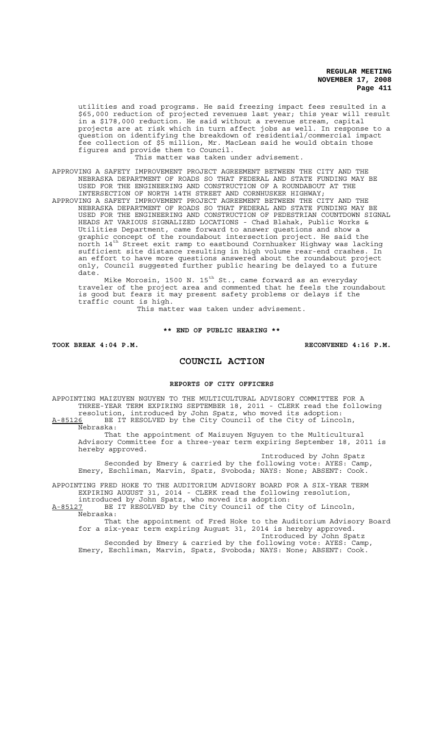utilities and road programs. He said freezing impact fees resulted in a \$65,000 reduction of projected revenues last year; this year will result in a \$178,000 reduction. He said without a revenue stream, capital projects are at risk which in turn affect jobs as well. In response to a question on identifying the breakdown of residential/commercial impact fee collection of \$5 million, Mr. MacLean said he would obtain those figures and provide them to Council.

This matter was taken under advisement.

APPROVING A SAFETY IMPROVEMENT PROJECT AGREEMENT BETWEEN THE CITY AND THE NEBRASKA DEPARTMENT OF ROADS SO THAT FEDERAL AND STATE FUNDING MAY BE USED FOR THE ENGINEERING AND CONSTRUCTION OF A ROUNDABOUT AT THE INTERSECTION OF NORTH 14TH STREET AND CORNHUSKER HIGHWAY;

APPROVING A SAFETY IMPROVEMENT PROJECT AGREEMENT BETWEEN THE CITY AND THE NEBRASKA DEPARTMENT OF ROADS SO THAT FEDERAL AND STATE FUNDING MAY BE USED FOR THE ENGINEERING AND CONSTRUCTION OF PEDESTRIAN COUNTDOWN SIGNAL HEADS AT VARIOUS SIGNALIZED LOCATIONS - Chad Blahak, Public Works & Utilities Department, came forward to answer questions and show a graphic concept of the roundabout intersection project. He said the north 14th Street exit ramp to eastbound Cornhusker Highway was lacking sufficient site distance resulting in high volume rear-end crashes. In an effort to have more questions answered about the roundabout project only, Council suggested further public hearing be delayed to a future date.

Mike Morosin, 1500 N. 15<sup>th</sup> St., came forward as an everyday traveler of the project area and commented that he feels the roundabout is good but fears it may present safety problems or delays if the traffic count is high.

This matter was taken under advisement.

**\*\* END OF PUBLIC HEARING \*\***

TOOK BREAK 4:04 P.M. **RECONVENED 4:16 P.M.** 

# **COUNCIL ACTION**

# **REPORTS OF CITY OFFICERS**

APPOINTING MAIZUYEN NGUYEN TO THE MULTICULTURAL ADVISORY COMMITTEE FOR A THREE-YEAR TERM EXPIRING SEPTEMBER 18, 2011 - CLERK read the following resolution, introduced by John Spatz, who moved its adoption: A-85126 BE IT RESOLVED by the City Council of the City of Lincoln,

Nebraska: That the appointment of Maizuyen Nguyen to the Multicultural Advisory Committee for a three-year term expiring September 18, 2011 is hereby approved.

Introduced by John Spatz Seconded by Emery & carried by the following vote: AYES: Camp, Emery, Eschliman, Marvin, Spatz, Svoboda; NAYS: None; ABSENT: Cook.

APPOINTING FRED HOKE TO THE AUDITORIUM ADVISORY BOARD FOR A SIX-YEAR TERM EXPIRING AUGUST 31, 2014 - CLERK read the following resolution,

introduced by John Spatz, who moved its adoption: A-85127 BE IT RESOLVED by the City Council of the City of Lincoln, Nebraska:

That the appointment of Fred Hoke to the Auditorium Advisory Board for a six-year term expiring August 31, 2014 is hereby approved.

Introduced by John Spatz Seconded by Emery & carried by the following vote: AYES: Camp, Emery, Eschliman, Marvin, Spatz, Svoboda; NAYS: None; ABSENT: Cook.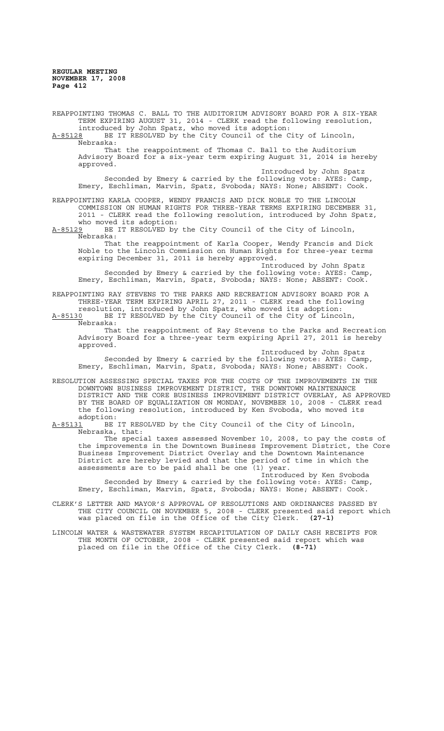REAPPOINTING THOMAS C. BALL TO THE AUDITORIUM ADVISORY BOARD FOR A SIX-YEAR TERM EXPIRING AUGUST 31, 2014 - CLERK read the following resolution, introduced by John Spatz, who moved its adoption: A-85128 BE IT RESOLVED by the City Council of the City of Lincoln, Nebraska: That the reappointment of Thomas C. Ball to the Auditorium Advisory Board for a six-year term expiring August 31, 2014 is hereby approved. Introduced by John Spatz Seconded by Emery & carried by the following vote: AYES: Camp, Emery, Eschliman, Marvin, Spatz, Svoboda; NAYS: None; ABSENT: Cook. REAPPOINTING KARLA COOPER, WENDY FRANCIS AND DICK NOBLE TO THE LINCOLN COMMISSION ON HUMAN RIGHTS FOR THREE-YEAR TERMS EXPIRING DECEMBER 31, 2011 - CLERK read the following resolution, introduced by John Spatz, who moved its adoption:<br>A-85129 BE IT RESOLVED by BE IT RESOLVED by the City Council of the City of Lincoln, Nebraska: That the reappointment of Karla Cooper, Wendy Francis and Dick Noble to the Lincoln Commission on Human Rights for three-year terms expiring December 31, 2011 is hereby approved. Introduced by John Spatz Seconded by Emery & carried by the following vote: AYES: Camp, Emery, Eschliman, Marvin, Spatz, Svoboda; NAYS: None; ABSENT: Cook. REAPPOINTING RAY STEVENS TO THE PARKS AND RECREATION ADVISORY BOARD FOR A THREE-YEAR TERM EXPIRING APRIL 27, 2011 - CLERK read the following resolution, introduced by John Spatz, who moved its adoption: A-85130 BE IT RESOLVED by the City Council of the City of Lincoln, Nebraska: That the reappointment of Ray Stevens to the Parks and Recreation Advisory Board for a three-year term expiring April 27, 2011 is hereby approved. Introduced by John Spatz Seconded by Emery & carried by the following vote: AYES: Camp, Emery, Eschliman, Marvin, Spatz, Svoboda; NAYS: None; ABSENT: Cook. RESOLUTION ASSESSING SPECIAL TAXES FOR THE COSTS OF THE IMPROVEMENTS IN THE DOWNTOWN BUSINESS IMPROVEMENT DISTRICT, THE DOWNTOWN MAINTENANCE DISTRICT AND THE CORE BUSINESS IMPROVEMENT DISTRICT OVERLAY, AS APPROVED BY THE BOARD OF EQUALIZATION ON MONDAY, NOVEMBER 10, 2008 - CLERK read the following resolution, introduced by Ken Svoboda, who moved its adoption:<br>A-85131 BE BE IT RESOLVED by the City Council of the City of Lincoln, Nebraska, that: The special taxes assessed November 10, 2008, to pay the costs of the improvements in the Downtown Business Improvement District, the Core Business Improvement District Overlay and the Downtown Maintenance District are hereby levied and that the period of time in which the assessments are to be paid shall be one (1) year. Introduced by Ken Svoboda Seconded by Emery & carried by the following vote: AYES: Camp, Emery, Eschliman, Marvin, Spatz, Svoboda; NAYS: None; ABSENT: Cook. CLERK'S LETTER AND MAYOR'S APPROVAL OF RESOLUTIONS AND ORDINANCES PASSED BY THE CITY COUNCIL ON NOVEMBER 5, 2008 - CLERK presented said report which was placed on file in the Office of the City Clerk. **(27-1)** LINCOLN WATER & WASTEWATER SYSTEM RECAPITULATION OF DAILY CASH RECEIPTS FOR THE MONTH OF OCTOBER, 2008 - CLERK presented said report which was placed on file in the Office of the City Clerk. **(8-71)**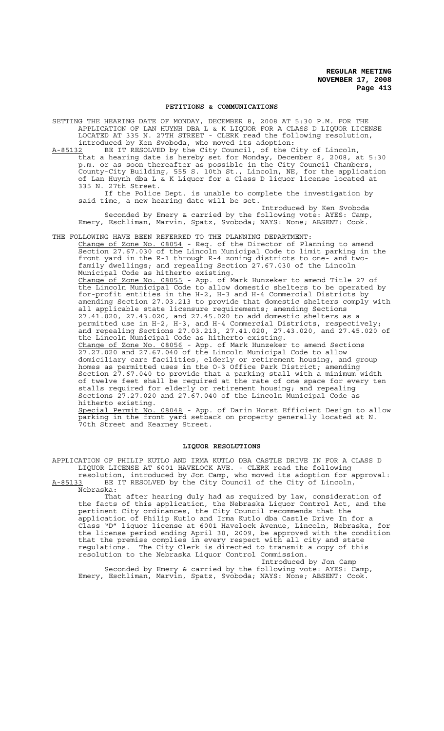#### **PETITIONS & COMMUNICATIONS**

SETTING THE HEARING DATE OF MONDAY, DECEMBER 8, 2008 AT 5:30 P.M. FOR THE APPLICATION OF LAN HUYNH DBA L & K LIQUOR FOR A CLASS D LIQUOR LICENSE LOCATED AT 335 N. 27TH STREET - CLERK read the following resolution, introduced by Ken Svoboda, who moved its adoption:

A-85132 BE IT RESOLVED by the City Council, of the City of Lincoln, that a hearing date is hereby set for Monday, December 8, 2008, at 5:30 p.m. or as soon thereafter as possible in the City Council Chambers, County-City Building, 555 S. 10th St., Lincoln, NE, for the application of Lan Huynh dba L & K Liquor for a Class D liquor license located at 335 N. 27th Street.

If the Police Dept. is unable to complete the investigation by said time, a new hearing date will be set. Introduced by Ken Svoboda

Seconded by Emery & carried by the following vote: AYES: Camp, Emery, Eschliman, Marvin, Spatz, Svoboda; NAYS: None; ABSENT: Cook.

THE FOLLOWING HAVE BEEN REFERRED TO THE PLANNING DEPARTMENT:

Change of Zone No. 08054 - Req. of the Director of Planning to amend Section 27.67.030 of the Lincoln Municipal Code to limit parking in the front yard in the R-1 through R-4 zoning districts to one- and twofamily dwellings; and repealing Section 27.67.030 of the Lincoln Municipal Code as hitherto existing.

Change of Zone No. 08055 - App. of Mark Hunzeker to amend Title 27 of the Lincoln Municipal Code to allow domestic shelters to be operated by for-profit entities in the H-2, H-3 and H-4 Commercial Districts by amending Section 27.03.213 to provide that domestic shelters comply with all applicable state licensure requirements; amending Sections 27.41.020, 27.43.020, and 27.45.020 to add domestic shelters as a permitted use in H-2, H-3, and H-4 Commercial Districts, respectively; and repealing Sections 27.03.213, 27.41.020, 27.43.020, and 27.45.020 of the Lincoln Municipal Code as hitherto existing.

Change of Zone No. 08056 - App. of Mark Hunzeker to amend Sections 27.27.020 and 27.67.040 of the Lincoln Municipal Code to allow domiciliary care facilities, elderly or retirement housing, and group homes as permitted uses in the O-3 Office Park District; amending Section 27.67.040 to provide that a parking stall with a minimum width of twelve feet shall be required at the rate of one space for every ten stalls required for elderly or retirement housing; and repealing Sections 27.27.020 and 27.67.040 of the Lincoln Municipal Code as hitherto existing.

Special Permit No. 08048 - App. of Darin Horst Efficient Design to allow parking in the front yard setback on property generally located at N. 70th Street and Kearney Street.

### **LIQUOR RESOLUTIONS**

APPLICATION OF PHILIP KUTLO AND IRMA KUTLO DBA CASTLE DRIVE IN FOR A CLASS D LIQUOR LICENSE AT 6001 HAVELOCK AVE. - CLERK read the following

resolution, introduced by Jon Camp, who moved its adoption for approval:<br>A-85133 BE IT RESOLVED by the City Council of the City of Lincoln, BE IT RESOLVED by the City Council of the City of Lincoln, Nebraska:

That after hearing duly had as required by law, consideration of the facts of this application, the Nebraska Liquor Control Act, and the pertinent City ordinances, the City Council recommends that the application of Philip Kutlo and Irma Kutlo dba Castle Drive In for a Class "D" liquor license at 6001 Havelock Avenue, Lincoln, Nebraska, for the license period ending April 30, 2009, be approved with the condition that the premise complies in every respect with all city and state regulations. The City Clerk is directed to transmit a copy of this resolution to the Nebraska Liquor Control Commission.

Introduced by Jon Camp Seconded by Emery & carried by the following vote: AYES: Camp, Emery, Eschliman, Marvin, Spatz, Svoboda; NAYS: None; ABSENT: Cook.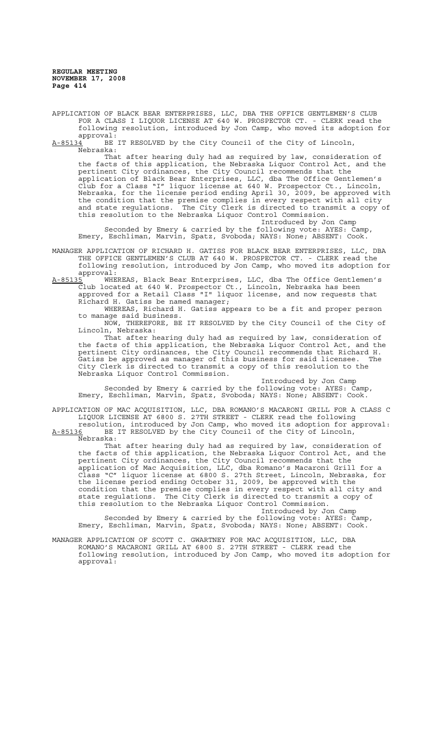APPLICATION OF BLACK BEAR ENTERPRISES, LLC, DBA THE OFFICE GENTLEMEN'S CLUB FOR A CLASS I LIQUOR LICENSE AT 640 W. PROSPECTOR CT. - CLERK read the following resolution, introduced by Jon Camp, who moved its adoption for approval:<br><u>A-85134</u> BE

BE IT RESOLVED by the City Council of the City of Lincoln, Nebraska:

That after hearing duly had as required by law, consideration of the facts of this application, the Nebraska Liquor Control Act, and the pertinent City ordinances, the City Council recommends that the application of Black Bear Enterprises, LLC, dba The Office Gentlemen's Club for a Class "I" liquor license at 640 W. Prospector Ct., Lincoln, Nebraska, for the license period ending April 30, 2009, be approved with the condition that the premise complies in every respect with all city and state regulations. The City Clerk is directed to transmit a copy of this resolution to the Nebraska Liquor Control Commission.

Introduced by Jon Camp

Seconded by Emery & carried by the following vote: AYES: Camp, Emery, Eschliman, Marvin, Spatz, Svoboda; NAYS: None; ABSENT: Cook.

MANAGER APPLICATION OF RICHARD H. GATISS FOR BLACK BEAR ENTERPRISES, LLC, DBA THE OFFICE GENTLEMEN'S CLUB AT 640 W. PROSPECTOR CT. - CLERK read the following resolution, introduced by Jon Camp, who moved its adoption for

approval:<br><u>A-85135</u> WHE A-85135 WHEREAS, Black Bear Enterprises, LLC, dba The Office Gentlemen's Club located at 640 W. Prospector Ct., Lincoln, Nebraska has been approved for a Retail Class "I" liquor license, and now requests that Richard H. Gatiss be named manager;

WHEREAS, Richard H. Gatiss appears to be a fit and proper person to manage said business.

NOW, THEREFORE, BE IT RESOLVED by the City Council of the City of Lincoln, Nebraska:

That after hearing duly had as required by law, consideration of the facts of this application, the Nebraska Liquor Control Act, and the pertinent City ordinances, the City Council recommends that Richard H. Gatiss be approved as manager of this business for said licensee. The City Clerk is directed to transmit a copy of this resolution to the Nebraska Liquor Control Commission.

Introduced by Jon Camp Seconded by Emery & carried by the following vote: AYES: Camp, Emery, Eschliman, Marvin, Spatz, Svoboda; NAYS: None; ABSENT: Cook.

APPLICATION OF MAC ACQUISITION, LLC, DBA ROMANO'S MACARONI GRILL FOR A CLASS C LIQUOR LICENSE AT 6800 S. 27TH STREET - CLERK read the following

resolution, introduced by Jon Camp, who moved its adoption for approval: A-85136 BE IT RESOLVED by the City Council of the City of Lincoln, Nebraska:

That after hearing duly had as required by law, consideration of the facts of this application, the Nebraska Liquor Control Act, and the pertinent City ordinances, the City Council recommends that the application of Mac Acquisition, LLC, dba Romano's Macaroni Grill for a Class "C" liquor license at 6800 S. 27th Street, Lincoln, Nebraska, for the license period ending October 31, 2009, be approved with the condition that the premise complies in every respect with all city and state regulations. The City Clerk is directed to transmit a copy of this resolution to the Nebraska Liquor Control Commission.

Introduced by Jon Camp Seconded by Emery & carried by the following vote: AYES: Camp, Emery, Eschliman, Marvin, Spatz, Svoboda; NAYS: None; ABSENT: Cook.

MANAGER APPLICATION OF SCOTT C. GWARTNEY FOR MAC ACQUISITION, LLC, DBA ROMANO'S MACARONI GRILL AT 6800 S. 27TH STREET - CLERK read the following resolution, introduced by Jon Camp, who moved its adoption for approval: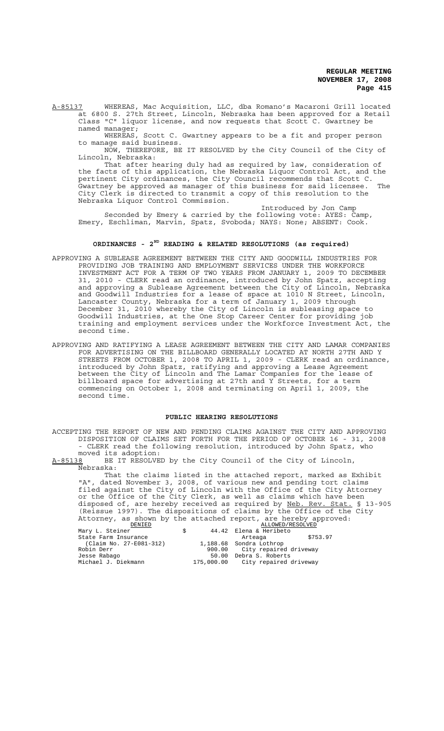A-85137 WHEREAS, Mac Acquisition, LLC, dba Romano's Macaroni Grill located at 6800 S. 27th Street, Lincoln, Nebraska has been approved for a Retail Class "C" liquor license, and now requests that Scott C. Gwartney be

named manager; WHEREAS, Scott C. Gwartney appears to be a fit and proper person to manage said business.

NOW, THEREFORE, BE IT RESOLVED by the City Council of the City of Lincoln, Nebraska:

That after hearing duly had as required by law, consideration of the facts of this application, the Nebraska Liquor Control Act, and the pertinent City ordinances, the City Council recommends that Scott C. Gwartney be approved as manager of this business for said licensee. The City Clerk is directed to transmit a copy of this resolution to the Nebraska Liquor Control Commission.

Introduced by Jon Camp Seconded by Emery & carried by the following vote: AYES: Camp, Emery, Eschliman, Marvin, Spatz, Svoboda; NAYS: None; ABSENT: Cook.

## **ORDINANCES - 2ND READING & RELATED RESOLUTIONS (as required)**

- APPROVING A SUBLEASE AGREEMENT BETWEEN THE CITY AND GOODWILL INDUSTRIES FOR PROVIDING JOB TRAINING AND EMPLOYMENT SERVICES UNDER THE WORKFORCE INVESTMENT ACT FOR A TERM OF TWO YEARS FROM JANUARY 1, 2009 TO DECEMBER 31, 2010 - CLERK read an ordinance, introduced by John Spatz, accepting and approving a Sublease Agreement between the City of Lincoln, Nebraska and Goodwill Industries for a lease of space at 1010 N Street, Lincoln, Lancaster County, Nebraska for a term of January 1, 2009 through December 31, 2010 whereby the City of Lincoln is subleasing space to Goodwill Industries, at the One Stop Career Center for providing job training and employment services under the Workforce Investment Act, the second time.
- APPROVING AND RATIFYING A LEASE AGREEMENT BETWEEN THE CITY AND LAMAR COMPANIES FOR ADVERTISING ON THE BILLBOARD GENERALLY LOCATED AT NORTH 27TH AND Y STREETS FROM OCTOBER 1, 2008 TO APRIL 1, 2009 - CLERK read an ordinance, introduced by John Spatz, ratifying and approving a Lease Agreement between the City of Lincoln and The Lamar Companies for the lease of billboard space for advertising at 27th and Y Streets, for a term commencing on October 1, 2008 and terminating on April 1, 2009, the second time.

### **PUBLIC HEARING RESOLUTIONS**

ACCEPTING THE REPORT OF NEW AND PENDING CLAIMS AGAINST THE CITY AND APPROVING DISPOSITION OF CLAIMS SET FORTH FOR THE PERIOD OF OCTOBER 16 - 31, 2008 - CLERK read the following resolution, introduced by John Spatz, who

moved its adoption:<br>A-85138 BE IT RESOLVE BE IT RESOLVED by the City Council of the City of Lincoln, Nebraska:

That the claims listed in the attached report, marked as Exhibit "A", dated November 3, 2008, of various new and pending tort claims filed against the City of Lincoln with the Office of the City Attorney or the Office of the City Clerk, as well as claims which have been disposed of, are hereby received as required by Neb. Rev. Stat. § 13-905 (Reissue 1997). The dispositions of claims by the Office of the City Attorney, as shown by the attached report, are hereby approved:

| DENIED                  | ALLOWED/RESOLVED                  |          |
|-------------------------|-----------------------------------|----------|
| Mary L. Steiner<br>Ŝ.   | 44.42 Elena & Heribeto            |          |
| State Farm Insurance    | Arteaga                           | \$753.97 |
| (Claim No. 27-E081-312) | 1,188.68 Sondra Lothrop           |          |
| Robin Derr              | 900.00 City repaired driveway     |          |
| Jesse Rabago            | 50.00 Debra S. Roberts            |          |
| Michael J. Diekmann     | 175,000.00 City repaired driveway |          |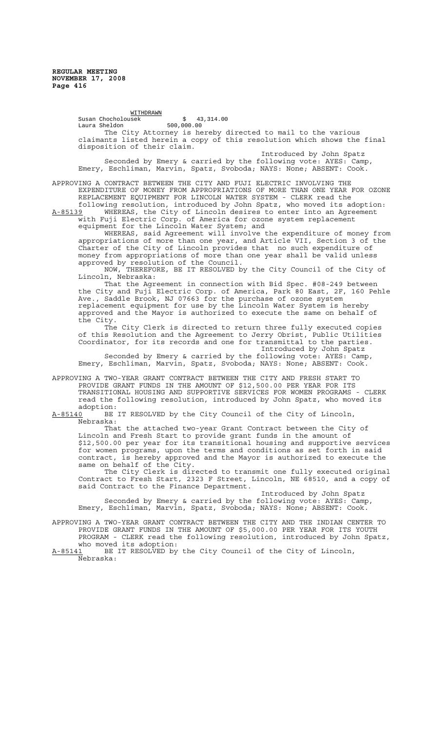WITHDRAWN Susan Chocholousek \$ 43,314.00 Laura Sheldon 500,000.00 The City Attorney is hereby directed to mail to the various claimants listed herein a copy of this resolution which shows the final disposition of their claim. Introduced by John Spatz

Seconded by Emery & carried by the following vote: AYES: Camp, Emery, Eschliman, Marvin, Spatz, Svoboda; NAYS: None; ABSENT: Cook.

APPROVING A CONTRACT BETWEEN THE CITY AND FUJI ELECTRIC INVOLVING THE EXPENDITURE OF MONEY FROM APPROPRIATIONS OF MORE THAN ONE YEAR FOR OZONE REPLACEMENT EQUIPMENT FOR LINCOLN WATER SYSTEM - CLERK read the

following resolution, introduced by John Spatz, who moved its adoption: A-85139 WHEREAS, the City of Lincoln desires to enter into an Agreement with Fuji Electric Corp. of America for ozone system replacement equipment for the Lincoln Water System; and

WHEREAS, said Agreement will involve the expenditure of money from appropriations of more than one year, and Article VII, Section 3 of the Charter of the City of Lincoln provides that no such expenditure of money from appropriations of more than one year shall be valid unless approved by resolution of the Council.

NOW, THEREFORE, BE IT RESOLVED by the City Council of the City of Lincoln, Nebraska:

That the Agreement in connection with Bid Spec. #08-249 between the City and Fuji Electric Corp. of America, Park 80 East, 2F, 160 Pehle Ave., Saddle Brook, NJ 07663 for the purchase of ozone system replacement equipment for use by the Lincoln Water System is hereby approved and the Mayor is authorized to execute the same on behalf of the City.

The City Clerk is directed to return three fully executed copies of this Resolution and the Agreement to Jerry Obrist, Public Utilities Coordinator, for its records and one for transmittal to the parties. Introduced by John Spatz

Seconded by Emery & carried by the following vote: AYES: Camp, Emery, Eschliman, Marvin, Spatz, Svoboda; NAYS: None; ABSENT: Cook.

APPROVING A TWO-YEAR GRANT CONTRACT BETWEEN THE CITY AND FRESH START TO PROVIDE GRANT FUNDS IN THE AMOUNT OF \$12,500.00 PER YEAR FOR ITS TRANSITIONAL HOUSING AND SUPPORTIVE SERVICES FOR WOMEN PROGRAMS - CLERK read the following resolution, introduced by John Spatz, who moved its adoption:

A-85140 BE IT RESOLVED by the City Council of the City of Lincoln, Nebraska:

That the attached two-year Grant Contract between the City of Lincoln and Fresh Start to provide grant funds in the amount of \$12,500.00 per year for its transitional housing and supportive services for women programs, upon the terms and conditions as set forth in said contract, is hereby approved and the Mayor is authorized to execute the same on behalf of the City.

The City Clerk is directed to transmit one fully executed original Contract to Fresh Start, 2323 F Street, Lincoln, NE 68510, and a copy of said Contract to the Finance Department.

Introduced by John Spatz Seconded by Emery & carried by the following vote: AYES: Camp, Emery, Eschliman, Marvin, Spatz, Svoboda; NAYS: None; ABSENT: Cook.

APPROVING A TWO-YEAR GRANT CONTRACT BETWEEN THE CITY AND THE INDIAN CENTER TO PROVIDE GRANT FUNDS IN THE AMOUNT OF \$5,000.00 PER YEAR FOR ITS YOUTH PROGRAM - CLERK read the following resolution, introduced by John Spatz, who moved its adoption:<br>A-85141 BE IT RESOLVED bv

BE IT RESOLVED by the City Council of the City of Lincoln, Nebraska: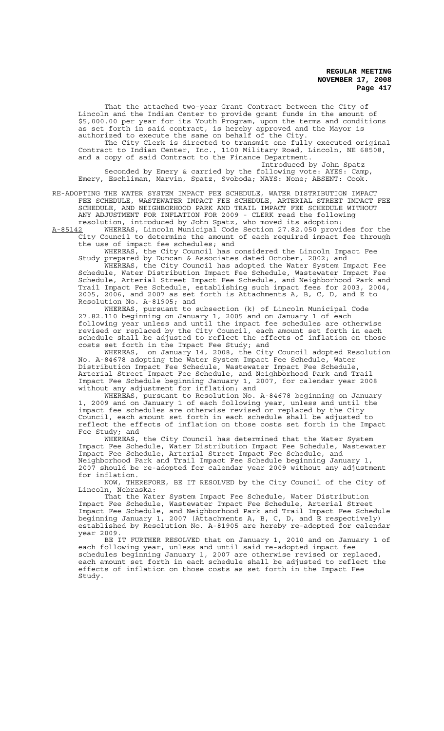That the attached two-year Grant Contract between the City of Lincoln and the Indian Center to provide grant funds in the amount of \$5,000.00 per year for its Youth Program, upon the terms and conditions as set forth in said contract, is hereby approved and the Mayor is authorized to execute the same on behalf of the City.

The City Clerk is directed to transmit one fully executed original Contract to Indian Center, Inc., 1100 Military Road, Lincoln, NE 68508, and a copy of said Contract to the Finance Department.

Introduced by John Spatz Seconded by Emery & carried by the following vote: AYES: Camp, Emery, Eschliman, Marvin, Spatz, Svoboda; NAYS: None; ABSENT: Cook.

RE-ADOPTING THE WATER SYSTEM IMPACT FEE SCHEDULE, WATER DISTRIBUTION IMPACT FEE SCHEDULE, WASTEWATER IMPACT FEE SCHEDULE, ARTERIAL STREET IMPACT FEE SCHEDULE, AND NEIGHBORHOOD PARK AND TRAIL IMPACT FEE SCHEDULE WITHOUT ANY ADJUSTMENT FOR INFLATION FOR 2009 - CLERK read the following resolution, introduced by John Spatz, who moved its adoption:

A-85142 MHEREAS, Lincoln Municipal Code Section 27.82.050 provides for the City Council to determine the amount of each required impact fee through the use of impact fee schedules; and

WHEREAS, the City Council has considered the Lincoln Impact Fee Study prepared by Duncan & Associates dated October, 2002; and

WHEREAS, the City Council has adopted the Water System Impact Fee Schedule, Water Distribution Impact Fee Schedule, Wastewater Impact Fee Schedule, Arterial Street Impact Fee Schedule, and Neighborhood Park and Trail Impact Fee Schedule, establishing such impact fees for 2003, 2004, 2005, 2006, and 2007 as set forth is Attachments A, B, C, D, and E to Resolution No. A-81905; and

WHEREAS, pursuant to subsection (k) of Lincoln Municipal Code 27.82.110 beginning on January 1, 2005 and on January 1 of each following year unless and until the impact fee schedules are otherwise revised or replaced by the City Council, each amount set forth in each schedule shall be adjusted to reflect the effects of inflation on those costs set forth in the Impact Fee Study; and

WHEREAS, on January 14, 2008, the City Council adopted Resolution No. A-84678 adopting the Water System Impact Fee Schedule, Water Distribution Impact Fee Schedule, Wastewater Impact Fee Schedule, Arterial Street Impact Fee Schedule, and Neighborhood Park and Trail Impact Fee Schedule beginning January 1, 2007, for calendar year 2008 without any adjustment for inflation; and

WHEREAS, pursuant to Resolution No. A-84678 beginning on January 1, 2009 and on January 1 of each following year, unless and until the impact fee schedules are otherwise revised or replaced by the City Council, each amount set forth in each schedule shall be adjusted to reflect the effects of inflation on those costs set forth in the Impact Fee Study; and

WHEREAS, the City Council has determined that the Water System Impact Fee Schedule, Water Distribution Impact Fee Schedule, Wastewater Impact Fee Schedule, Arterial Street Impact Fee Schedule, and Neighborhood Park and Trail Impact Fee Schedule beginning January 1, 2007 should be re-adopted for calendar year 2009 without any adjustment for inflation.

NOW, THEREFORE, BE IT RESOLVED by the City Council of the City of Lincoln, Nebraska:

That the Water System Impact Fee Schedule, Water Distribution Impact Fee Schedule, Wastewater Impact Fee Schedule, Arterial Street Impact Fee Schedule, and Neighborhood Park and Trail Impact Fee Schedule beginning January 1, 2007 (Attachments A, B, C, D, and E respectively) established by Resolution No. A-81905 are hereby re-adopted for calendar year 2009.

BE IT FURTHER RESOLVED that on January 1, 2010 and on January 1 of each following year, unless and until said re-adopted impact fee schedules beginning January 1, 2007 are otherwise revised or replaced, each amount set forth in each schedule shall be adjusted to reflect the effects of inflation on those costs as set forth in the Impact Fee Study.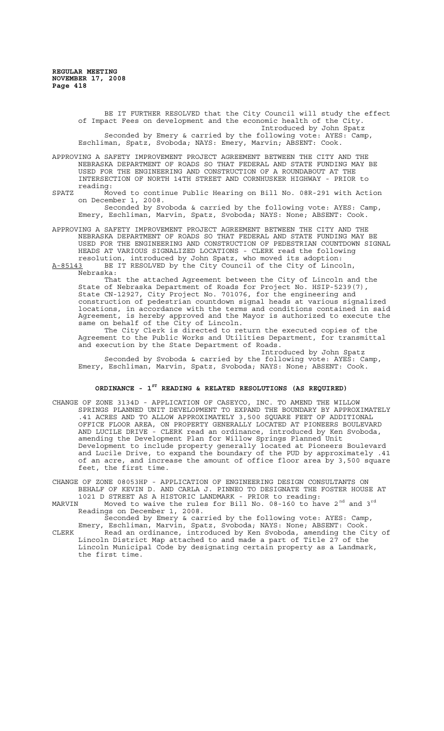BE IT FURTHER RESOLVED that the City Council will study the effect of Impact Fees on development and the economic health of the City. Introduced by John Spatz Seconded by Emery & carried by the following vote: AYES: Camp, Eschliman, Spatz, Svoboda; NAYS: Emery, Marvin; ABSENT: Cook.

APPROVING A SAFETY IMPROVEMENT PROJECT AGREEMENT BETWEEN THE CITY AND THE NEBRASKA DEPARTMENT OF ROADS SO THAT FEDERAL AND STATE FUNDING MAY BE USED FOR THE ENGINEERING AND CONSTRUCTION OF A ROUNDABOUT AT THE INTERSECTION OF NORTH 14TH STREET AND CORNHUSKER HIGHWAY - PRIOR to reading:

# SPATZ Moved to continue Public Hearing on Bill No. 08R-291 with Action on December 1, 2008.

Seconded by Svoboda & carried by the following vote: AYES: Camp, Emery, Eschliman, Marvin, Spatz, Svoboda; NAYS: None; ABSENT: Cook.

APPROVING A SAFETY IMPROVEMENT PROJECT AGREEMENT BETWEEN THE CITY AND THE NEBRASKA DEPARTMENT OF ROADS SO THAT FEDERAL AND STATE FUNDING MAY BE USED FOR THE ENGINEERING AND CONSTRUCTION OF PEDESTRIAN COUNTDOWN SIGNAL HEADS AT VARIOUS SIGNALIZED LOCATIONS - CLERK read the following resolution, introduced by John Spatz, who moved its adoption:

A-85143 BE IT RESOLVED by the City Council of the City of Lincoln, A-85143 BE<br>Nebraska:

That the attached Agreement between the City of Lincoln and the State of Nebraska Department of Roads for Project No. HSIP-5239(7), State CN-12927, City Project No. 701076, for the engineering and construction of pedestrian countdown signal heads at various signalized locations, in accordance with the terms and conditions contained in said Agreement, is hereby approved and the Mayor is authorized to execute the same on behalf of the City of Lincoln.

The City Clerk is directed to return the executed copies of the Agreement to the Public Works and Utilities Department, for transmittal and execution by the State Department of Roads.

Introduced by John Spatz Seconded by Svoboda & carried by the following vote: AYES: Camp, Emery, Eschliman, Marvin, Spatz, Svoboda; NAYS: None; ABSENT: Cook.

# **ORDINANCE - 1ST READING & RELATED RESOLUTIONS (AS REQUIRED)**

CHANGE OF ZONE 3134D - APPLICATION OF CASEYCO, INC. TO AMEND THE WILLOW SPRINGS PLANNED UNIT DEVELOPMENT TO EXPAND THE BOUNDARY BY APPROXIMATELY .41 ACRES AND TO ALLOW APPROXIMATELY 3,500 SQUARE FEET OF ADDITIONAL OFFICE FLOOR AREA, ON PROPERTY GENERALLY LOCATED AT PIONEERS BOULEVARD AND LUCILE DRIVE - CLERK read an ordinance, introduced by Ken Svoboda, amending the Development Plan for Willow Springs Planned Unit Development to include property generally located at Pioneers Boulevard and Lucile Drive, to expand the boundary of the PUD by approximately .41 of an acre, and increase the amount of office floor area by 3,500 square feet, the first time.

CHANGE OF ZONE 08053HP - APPLICATION OF ENGINEERING DESIGN CONSULTANTS ON BEHALF OF KEVIN D. AND CARLA J. PINNEO TO DESIGNATE THE FOSTER HOUSE AT 1021 D STREET AS A HISTORIC LANDMARK - PRIOR to reading:

MARVIN Moved to waive the rules for Bill No.  $08-160$  to have  $2<sup>nd</sup>$  and  $3<sup>rd</sup>$ Readings on December 1, 2008.

Seconded by Emery & carried by the following vote: AYES: Camp, Emery, Eschliman, Marvin, Spatz, Svoboda; NAYS: None; ABSENT: Cook. CLERK Read an ordinance, introduced by Ken Svoboda, amending the City of Lincoln District Map attached to and made a part of Title 27 of the

Lincoln Municipal Code by designating certain property as a Landmark, the first time.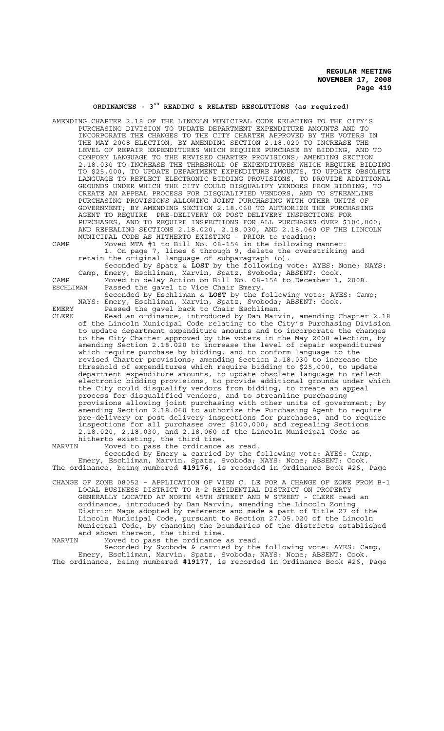# **ORDINANCES - 3RD READING & RELATED RESOLUTIONS (as required)**

AMENDING CHAPTER 2.18 OF THE LINCOLN MUNICIPAL CODE RELATING TO THE CITY'S PURCHASING DIVISION TO UPDATE DEPARTMENT EXPENDITURE AMOUNTS AND TO INCORPORATE THE CHANGES TO THE CITY CHARTER APPROVED BY THE VOTERS IN THE MAY 2008 ELECTION, BY AMENDING SECTION 2.18.020 TO INCREASE THE LEVEL OF REPAIR EXPENDITURES WHICH REQUIRE PURCHASE BY BIDDING, AND TO CONFORM LANGUAGE TO THE REVISED CHARTER PROVISIONS; AMENDING SECTION 2.18.030 TO INCREASE THE THRESHOLD OF EXPENDITURES WHICH REQUIRE BIDDING TO \$25,000, TO UPDATE DEPARTMENT EXPENDITURE AMOUNTS, TO UPDATE OBSOLETE LANGUAGE TO REFLECT ELECTRONIC BIDDING PROVISIONS, TO PROVIDE ADDITIONAL GROUNDS UNDER WHICH THE CITY COULD DISQUALIFY VENDORS FROM BIDDING, TO CREATE AN APPEAL PROCESS FOR DISQUALIFIED VENDORS, AND TO STREAMLINE PURCHASING PROVISIONS ALLOWING JOINT PURCHASING WITH OTHER UNITS OF GOVERNMENT; BY AMENDING SECTION 2.18.060 TO AUTHORIZE THE PURCHASING AGENT TO REQUIRE PRE-DELIVERY OR POST DELIVERY INSPECTIONS FOR PURCHASES, AND TO REQUIRE INSPECTIONS FOR ALL PURCHASES OVER \$100,000; AND REPEALING SECTIONS 2.18.020, 2.18.030, AND 2.18.060 OF THE LINCOLN MUNICIPAL CODE AS HITHERTO EXISTING - PRIOR to reading:

CAMP Moved MTA #1 to Bill No. 08-154 in the following manner: 1. On page 7, lines 6 through 9, delete the overstriking and retain the original language of subparagraph (o).

Seconded by Spatz & **LOST** by the following vote: AYES: None; NAYS: Camp, Emery, Eschliman, Marvin, Spatz, Svoboda; ABSENT: Cook.

CAMP Moved to delay Action on Bill No. 08-154 to December 1, 2008. ESCHLIMAN Passed the gavel to Vice Chair Emery.

Seconded by Eschliman & **LOST** by the following vote: AYES: Camp; NAYS: Emery, Eschliman, Marvin, Spatz, Svoboda; ABSENT: Cook. EMERY Passed the gavel back to Chair Eschliman.

CLERK Read an ordinance, introduced by Dan Marvin, amending Chapter 2.18 of the Lincoln Municipal Code relating to the City's Purchasing Division to update department expenditure amounts and to incorporate the changes to the City Charter approved by the voters in the May 2008 election, by amending Section 2.18.020 to increase the level of repair expenditures which require purchase by bidding, and to conform language to the revised Charter provisions; amending Section 2.18.030 to increase the threshold of expenditures which require bidding to \$25,000, to update department expenditure amounts, to update obsolete language to reflect electronic bidding provisions, to provide additional grounds under which the City could disqualify vendors from bidding, to create an appeal process for disqualified vendors, and to streamline purchasing provisions allowing joint purchasing with other units of government; by amending Section 2.18.060 to authorize the Purchasing Agent to require pre-delivery or post delivery inspections for purchases, and to require inspections for all purchases over \$100,000; and repealing Sections 2.18.020, 2.18.030, and 2.18.060 of the Lincoln Municipal Code as hitherto existing, the third time.

MARVIN Moved to pass the ordinance as read.

Seconded by Emery & carried by the following vote: AYES: Camp, Emery, Eschliman, Marvin, Spatz, Svoboda; NAYS: None; ABSENT: Cook. The ordinance, being numbered **#19176**, is recorded in Ordinance Book #26, Page

CHANGE OF ZONE 08052 – APPLICATION OF VIEN C. LE FOR A CHANGE OF ZONE FROM B-1 LOCAL BUSINESS DISTRICT TO R-2 RESIDENTIAL DISTRICT ON PROPERTY GENERALLY LOCATED AT NORTH 45TH STREET AND W STREET - CLERK read an ordinance, introduced by Dan Marvin, amending the Lincoln Zoning District Maps adopted by reference and made a part of Title 27 of the Lincoln Municipal Code, pursuant to Section 27.05.020 of the Lincoln Municipal Code, by changing the boundaries of the districts established and shown thereon, the third time.

MARVIN Moved to pass the ordinance as read.

Seconded by Svoboda & carried by the following vote: AYES: Camp, Emery, Eschliman, Marvin, Spatz, Svoboda; NAYS: None; ABSENT: Cook. The ordinance, being numbered **#19177**, is recorded in Ordinance Book #26, Page